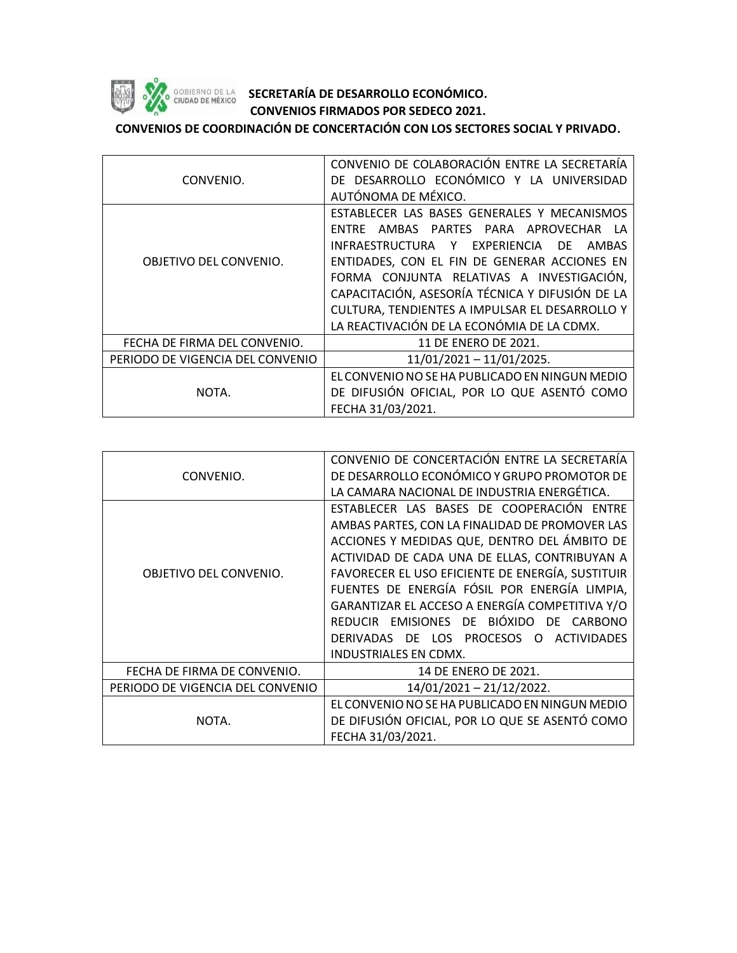

## **SOBJERNO DE LA SECRETARÍA DE DESARROLLO ECONÓMICO. CONVENIOS FIRMADOS POR SEDECO 2021.**

**CONVENIOS DE COORDINACIÓN DE CONCERTACIÓN CON LOS SECTORES SOCIAL Y PRIVADO.**

|                                  | CONVENIO DE COLABORACIÓN ENTRE LA SECRETARÍA    |
|----------------------------------|-------------------------------------------------|
| CONVENIO.                        | DE DESARROLLO ECONÓMICO Y LA UNIVERSIDAD        |
|                                  | AUTÓNOMA DE MÉXICO.                             |
| OBJETIVO DEL CONVENIO.           | ESTABLECER LAS BASES GENERALES Y MECANISMOS     |
|                                  | AMBAS PARTES PARA APROVECHAR LA<br><b>FNTRE</b> |
|                                  | INFRAESTRUCTURA Y EXPERIENCIA DE<br>AMBAS       |
|                                  | ENTIDADES, CON EL FIN DE GENERAR ACCIONES EN    |
|                                  | FORMA CONJUNTA RELATIVAS A INVESTIGACIÓN,       |
|                                  | CAPACITACIÓN, ASESORÍA TÉCNICA Y DIFUSIÓN DE LA |
|                                  | CULTURA, TENDIENTES A IMPULSAR EL DESARROLLO Y  |
|                                  | LA REACTIVACIÓN DE LA ECONÓMIA DE LA CDMX.      |
| FECHA DE FIRMA DEL CONVENIO.     | 11 DE ENERO DE 2021.                            |
| PERIODO DE VIGENCIA DEL CONVENIO | $11/01/2021 - 11/01/2025.$                      |
| NOTA.                            | EL CONVENIO NO SE HA PUBLICADO EN NINGUN MEDIO  |
|                                  | DE DIFUSIÓN OFICIAL, POR LO QUE ASENTÓ COMO     |
|                                  | FECHA 31/03/2021.                               |

|                                  | CONVENIO DE CONCERTACIÓN ENTRE LA SECRETARÍA      |
|----------------------------------|---------------------------------------------------|
| CONVENIO.                        | DE DESARROLLO ECONÓMICO Y GRUPO PROMOTOR DE       |
|                                  | LA CAMARA NACIONAL DE INDUSTRIA ENERGÉTICA.       |
| OBJETIVO DEL CONVENIO.           | ESTABLECER LAS BASES DE COOPERACIÓN ENTRE         |
|                                  | AMBAS PARTES, CON LA FINALIDAD DE PROMOVER LAS    |
|                                  | ACCIONES Y MEDIDAS QUE, DENTRO DEL ÁMBITO DE      |
|                                  | ACTIVIDAD DE CADA UNA DE ELLAS, CONTRIBUYAN A     |
|                                  | FAVORECER EL USO EFICIENTE DE ENERGÍA, SUSTITUIR  |
|                                  | FUENTES DE ENERGÍA FÓSIL POR ENERGÍA LIMPIA,      |
|                                  | GARANTIZAR EL ACCESO A ENERGÍA COMPETITIVA Y/O    |
|                                  | REDUCIR EMISIONES DE BIÓXIDO DE CARBONO           |
|                                  | DERIVADAS DE LOS PROCESOS O<br><b>ACTIVIDADES</b> |
|                                  | <b>INDUSTRIALES EN CDMX.</b>                      |
| FECHA DE FIRMA DE CONVENIO.      | 14 DE ENERO DE 2021.                              |
| PERIODO DE VIGENCIA DEL CONVENIO | 14/01/2021 - 21/12/2022.                          |
|                                  | EL CONVENIO NO SE HA PUBLICADO EN NINGUN MEDIO    |
| NOTA.                            | DE DIFUSIÓN OFICIAL, POR LO QUE SE ASENTÓ COMO    |
|                                  | FECHA 31/03/2021.                                 |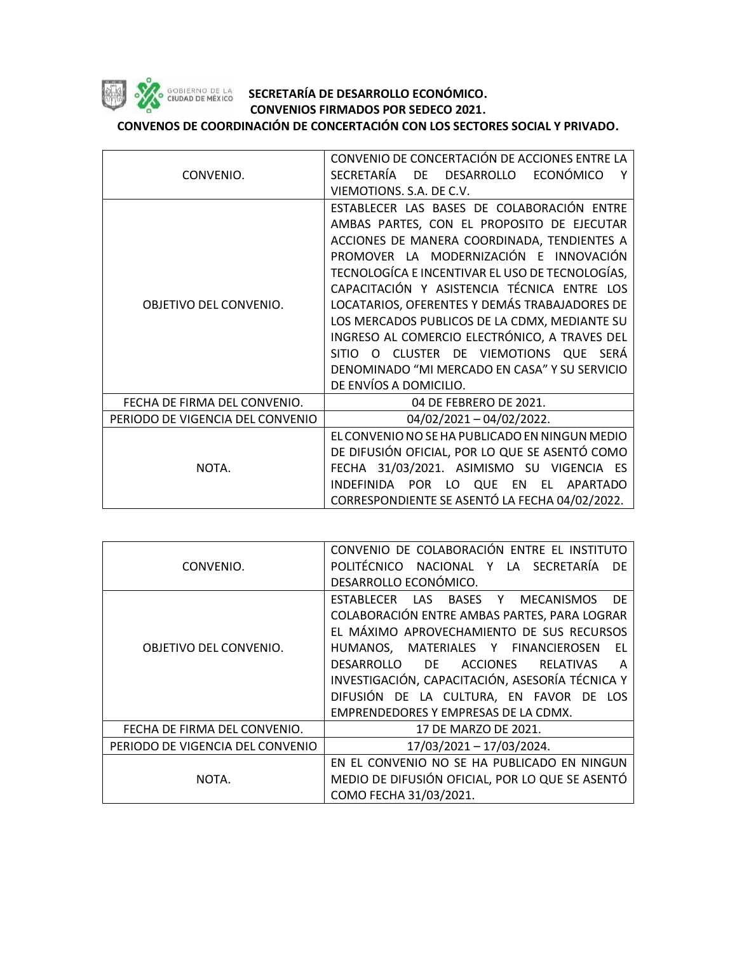

## SOBIERNO DE LA **SECRETARÍA DE DESARROLLO ECONÓMICO. CONVENIOS FIRMADOS POR SEDECO 2021.**

**CONVENOS DE COORDINACIÓN DE CONCERTACIÓN CON LOS SECTORES SOCIAL Y PRIVADO.**

|                                  | CONVENIO DE CONCERTACIÓN DE ACCIONES ENTRE LA              |
|----------------------------------|------------------------------------------------------------|
| CONVENIO.                        | SECRETARÍA<br>ECONÓMICO<br>DESARROLLO<br>DE a<br>Υ         |
|                                  | VIEMOTIONS. S.A. DE C.V.                                   |
|                                  | ESTABLECER LAS BASES DE COLABORACIÓN ENTRE                 |
|                                  | AMBAS PARTES, CON EL PROPOSITO DE EJECUTAR                 |
|                                  | ACCIONES DE MANERA COORDINADA, TENDIENTES A                |
|                                  | PROMOVER LA MODERNIZACIÓN E INNOVACIÓN                     |
|                                  | TECNOLOGÍCA E INCENTIVAR EL USO DE TECNOLOGÍAS,            |
|                                  | CAPACITACIÓN Y ASISTENCIA TÉCNICA ENTRE LOS                |
| OBJETIVO DEL CONVENIO.           | LOCATARIOS, OFERENTES Y DEMÁS TRABAJADORES DE              |
|                                  | LOS MERCADOS PUBLICOS DE LA CDMX, MEDIANTE SU              |
|                                  | INGRESO AL COMERCIO ELECTRÓNICO, A TRAVES DEL              |
|                                  | SITIO O CLUSTER DE VIEMOTIONS QUE SERÁ                     |
|                                  | DENOMINADO "MI MERCADO EN CASA" Y SU SERVICIO              |
|                                  | DE ENVÍOS A DOMICILIO.                                     |
| FECHA DE FIRMA DEL CONVENIO.     | 04 DE FEBRERO DE 2021.                                     |
| PERIODO DE VIGENCIA DEL CONVENIO | $04/02/2021 - 04/02/2022$ .                                |
| NOTA.                            | EL CONVENIO NO SE HA PUBLICADO EN NINGUN MEDIO             |
|                                  | DE DIFUSIÓN OFICIAL, POR LO QUE SE ASENTÓ COMO             |
|                                  | FECHA 31/03/2021. ASIMISMO SU VIGENCIA ES                  |
|                                  | INDEFINIDA POR<br><b>QUE</b><br>APARTADO<br>LO<br>EN<br>EL |
|                                  | CORRESPONDIENTE SE ASENTÓ LA FECHA 04/02/2022.             |

| CONVENIO.                        | CONVENIO DE COLABORACIÓN ENTRE EL INSTITUTO<br>POLITÉCNICO NACIONAL Y LA SECRETARÍA<br>DF |
|----------------------------------|-------------------------------------------------------------------------------------------|
|                                  | DESARROLLO ECONÓMICO.                                                                     |
| OBJETIVO DEL CONVENIO.           | ESTABLECER LAS BASES Y MECANISMOS<br>DF.                                                  |
|                                  | COLABORACIÓN ENTRE AMBAS PARTES, PARA LOGRAR                                              |
|                                  | EL MÁXIMO APROVECHAMIENTO DE SUS RECURSOS                                                 |
|                                  | HUMANOS, MATERIALES Y FINANCIEROSEN<br>EL.                                                |
|                                  | <b>ACCIONES</b><br>DESARROLLO<br>DE -<br><b>RELATIVAS</b><br>A                            |
|                                  | INVESTIGACIÓN, CAPACITACIÓN, ASESORÍA TÉCNICA Y                                           |
|                                  | DIFUSIÓN DE LA CULTURA, EN FAVOR DE LOS                                                   |
|                                  | EMPRENDEDORES Y EMPRESAS DE LA CDMX.                                                      |
| FECHA DE FIRMA DEL CONVENIO.     | 17 DE MARZO DE 2021.                                                                      |
| PERIODO DE VIGENCIA DEL CONVENIO | 17/03/2021 - 17/03/2024.                                                                  |
| NOTA.                            | EN EL CONVENIO NO SE HA PUBLICADO EN NINGUN                                               |
|                                  | MEDIO DE DIFUSIÓN OFICIAL, POR LO QUE SE ASENTÓ                                           |
|                                  | COMO FECHA 31/03/2021.                                                                    |